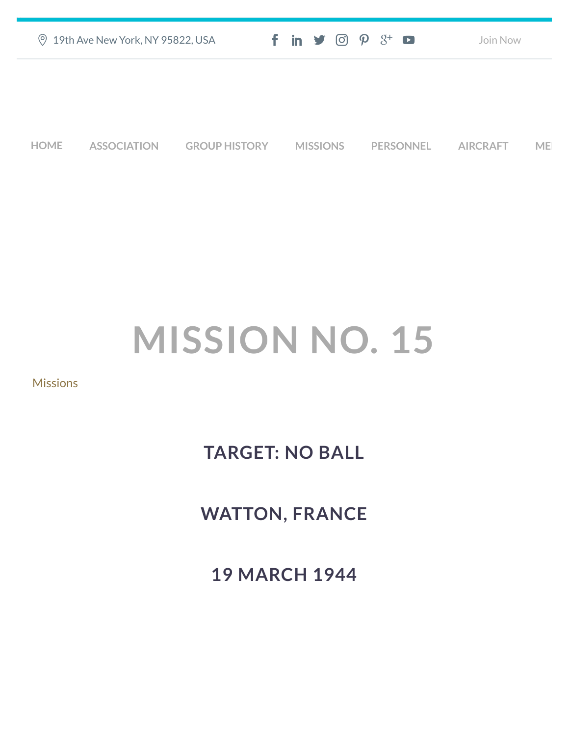| ◎ 19th Ave New York, NY 95822, USA | $f$ in $\blacktriangleright$ $\odot$ $\varphi$ $3^{\scriptscriptstyle +}$ $\Box$ | Join Now |
|------------------------------------|----------------------------------------------------------------------------------|----------|
|                                    |                                                                                  |          |
|                                    |                                                                                  |          |
|                                    |                                                                                  |          |

**[HOME](https://457thbombgroupassoc.org/)** [ASSOCIATION](https://457thbombgroupassoc.org/mission-no-15/#) [GROUP HISTORY](https://457thbombgroupassoc.org/mission-no-15/#) [MISSIONS](https://457thbombgroupassoc.org/mission-no-15/#) [PERSONNEL](https://457thbombgroupassoc.org/mission-no-15/#) [AIRCRAFT](https://457thbombgroupassoc.org/mission-no-15/#) [MED](https://457thbombgroupassoc.org/mission-no-15/#)

# **MISSION NO. 15**

#### **[Missions](https://457thbombgroupassoc.org/category/missions/)**

## **TARGET: NO BALL**

### **WATTON, FRANCE**

**19 MARCH 1944**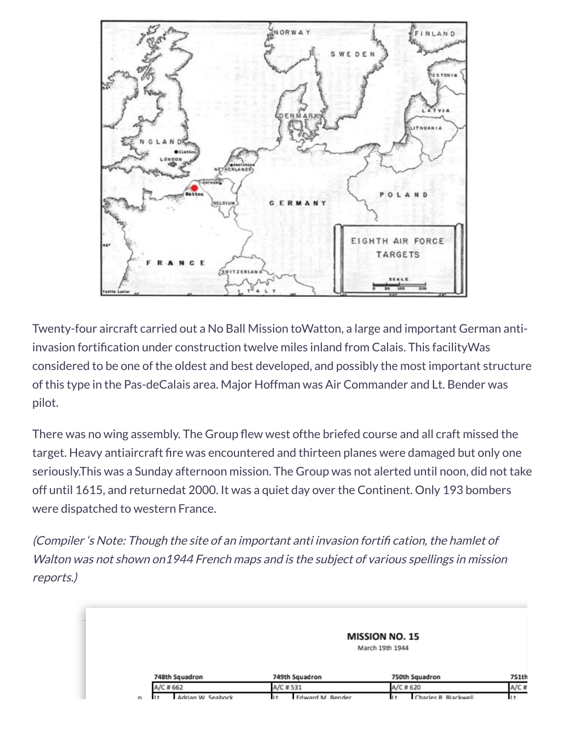

Twenty-four aircraft carried out a No Ball Mission toWatton, a large and important German antiinvasion fortification under construction twelve miles inland from Calais. This facilityWas considered to be one of the oldest and best developed, and possibly the most important structure of this type in the Pas-deCalais area. Major Hoffman was Air Commander and Lt. Bender was pilot.

There was no wing assembly. The Group flew west ofthe briefed course and all craft missed the target. Heavy antiaircraft fire was encountered and thirteen planes were damaged but only one seriously.This was a Sunday afternoon mission. The Group was not alerted until noon, did not take off until 1615, and returnedat 2000. It was a quiet day over the Continent. Only 193 bombers were dispatched to western France.

(Compiler 's Note: Though the site of an important anti invasion fortifi cation, the hamlet of Walton was not shown on1944 French maps and is the subject of various spellings in mission reports.)

#### MISSION NO. 15

March 19th 1944

| 748th Squadron |                   | 749th Squadron |          |                         | 750th Squadron |  |                      |  |
|----------------|-------------------|----------------|----------|-------------------------|----------------|--|----------------------|--|
| A/C # 662      |                   |                | A/C #531 |                         | A/C # 620      |  | A/C#                 |  |
| H.             | Adrian W. Seabock |                |          | <b>Edward M. Bender</b> |                |  | Charles R. Blackwell |  |